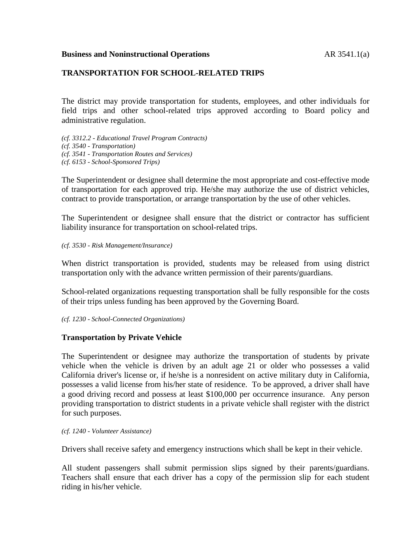### **Business and Noninstructional Operations** AR 3541.1(a)

## **TRANSPORTATION FOR SCHOOL-RELATED TRIPS**

The district may provide transportation for students, employees, and other individuals for field trips and other school-related trips approved according to Board policy and administrative regulation.

*(cf. 3312.2 - Educational Travel Program Contracts) (cf. 3540 - Transportation) (cf. 3541 - Transportation Routes and Services)*

*(cf. 6153 - School-Sponsored Trips)*

The Superintendent or designee shall determine the most appropriate and cost-effective mode of transportation for each approved trip. He/she may authorize the use of district vehicles, contract to provide transportation, or arrange transportation by the use of other vehicles.

The Superintendent or designee shall ensure that the district or contractor has sufficient liability insurance for transportation on school-related trips.

*(cf. 3530 - Risk Management/Insurance)*

When district transportation is provided, students may be released from using district transportation only with the advance written permission of their parents/guardians.

School-related organizations requesting transportation shall be fully responsible for the costs of their trips unless funding has been approved by the Governing Board.

*(cf. 1230 - School-Connected Organizations)*

## **Transportation by Private Vehicle**

The Superintendent or designee may authorize the transportation of students by private vehicle when the vehicle is driven by an adult age 21 or older who possesses a valid California driver's license or, if he/she is a nonresident on active military duty in California, possesses a valid license from his/her state of residence. To be approved, a driver shall have a good driving record and possess at least \$100,000 per occurrence insurance. Any person providing transportation to district students in a private vehicle shall register with the district for such purposes.

*(cf. 1240 - Volunteer Assistance)*

Drivers shall receive safety and emergency instructions which shall be kept in their vehicle.

All student passengers shall submit permission slips signed by their parents/guardians. Teachers shall ensure that each driver has a copy of the permission slip for each student riding in his/her vehicle.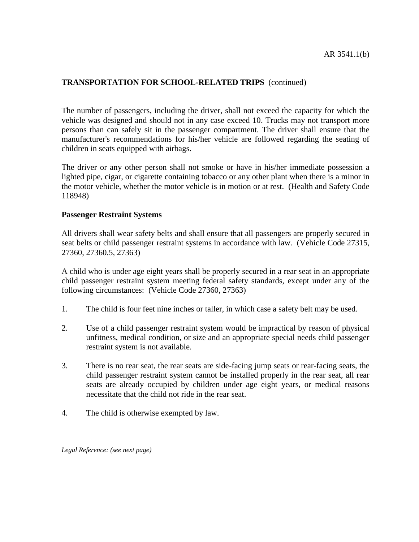## **TRANSPORTATION FOR SCHOOL-RELATED TRIPS** (continued)

The number of passengers, including the driver, shall not exceed the capacity for which the vehicle was designed and should not in any case exceed 10. Trucks may not transport more persons than can safely sit in the passenger compartment. The driver shall ensure that the manufacturer's recommendations for his/her vehicle are followed regarding the seating of children in seats equipped with airbags.

The driver or any other person shall not smoke or have in his/her immediate possession a lighted pipe, cigar, or cigarette containing tobacco or any other plant when there is a minor in the motor vehicle, whether the motor vehicle is in motion or at rest. (Health and Safety Code 118948)

#### **Passenger Restraint Systems**

All drivers shall wear safety belts and shall ensure that all passengers are properly secured in seat belts or child passenger restraint systems in accordance with law. (Vehicle Code 27315, 27360, 27360.5, 27363)

A child who is under age eight years shall be properly secured in a rear seat in an appropriate child passenger restraint system meeting federal safety standards, except under any of the following circumstances: (Vehicle Code 27360, 27363)

- 1. The child is four feet nine inches or taller, in which case a safety belt may be used.
- 2. Use of a child passenger restraint system would be impractical by reason of physical unfitness, medical condition, or size and an appropriate special needs child passenger restraint system is not available.
- 3. There is no rear seat, the rear seats are side-facing jump seats or rear-facing seats, the child passenger restraint system cannot be installed properly in the rear seat, all rear seats are already occupied by children under age eight years, or medical reasons necessitate that the child not ride in the rear seat.
- 4. The child is otherwise exempted by law.

*Legal Reference: (see next page)*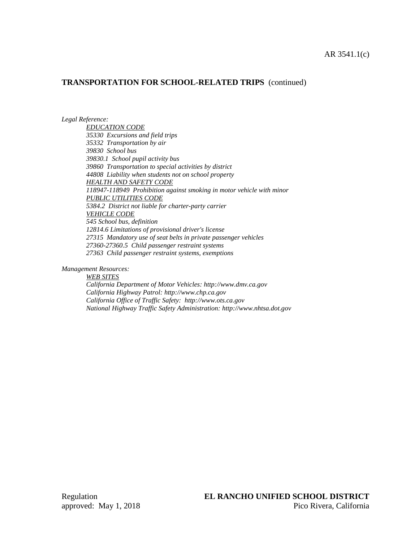## **TRANSPORTATION FOR SCHOOL-RELATED TRIPS** (continued)

*Legal Reference:*

*EDUCATION CODE 35330 Excursions and field trips 35332 Transportation by air 39830 School bus 39830.1 School pupil activity bus 39860 Transportation to special activities by district 44808 Liability when students not on school property HEALTH AND SAFETY CODE 118947-118949 Prohibition against smoking in motor vehicle with minor PUBLIC UTILITIES CODE 5384.2 District not liable for charter-party carrier VEHICLE CODE 545 School bus, definition 12814.6 Limitations of provisional driver's license 27315 Mandatory use of seat belts in private passenger vehicles 27360-27360.5 Child passenger restraint systems 27363 Child passenger restraint systems, exemptions*

*Management Resources:*

*WEB SITES California Department of Motor Vehicles: http://www.dmv.ca.gov California Highway Patrol: http://www.chp.ca.gov California Office of Traffic Safety: http://www.ots.ca.gov National Highway Traffic Safety Administration: http://www.nhtsa.dot.gov*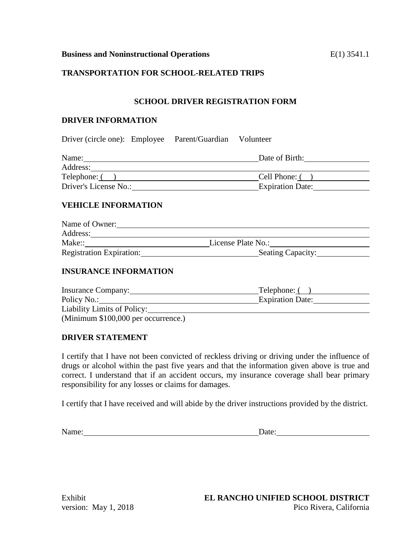## **TRANSPORTATION FOR SCHOOL-RELATED TRIPS**

## **SCHOOL DRIVER REGISTRATION FORM**

## **DRIVER INFORMATION**

Driver (circle one): Employee Parent/Guardian Volunteer

| Name:                 | Date of Birth:          |
|-----------------------|-------------------------|
| Address:              |                         |
| Telephone: (          | Cell Phone: (           |
| Driver's License No.: | <b>Expiration Date:</b> |

# **VEHICLE INFORMATION**

| Name of Owner:                  |                          |
|---------------------------------|--------------------------|
| Address:                        |                          |
| Make::                          | License Plate No.:       |
| <b>Registration Expiration:</b> | <b>Seating Capacity:</b> |

## **INSURANCE INFORMATION**

| <b>Insurance Company:</b>           | Telephone: (            |
|-------------------------------------|-------------------------|
| Policy No.:                         | <b>Expiration Date:</b> |
| Liability Limits of Policy:         |                         |
| (Minimum \$100,000 per occurrence.) |                         |

## **DRIVER STATEMENT**

I certify that I have not been convicted of reckless driving or driving under the influence of drugs or alcohol within the past five years and that the information given above is true and correct. I understand that if an accident occurs, my insurance coverage shall bear primary responsibility for any losses or claims for damages.

I certify that I have received and will abide by the driver instructions provided by the district.

Name: Date: Date: Date: Date: Date: Date: Date: Date: Date: Date: Date: Date: Date: Date: Date: Date: Date: Date: Date: Date: Date: Date: Date: Date: Date: Date: Date: Date: Date: Date: Date: Date: Date: Date: Date: Date: